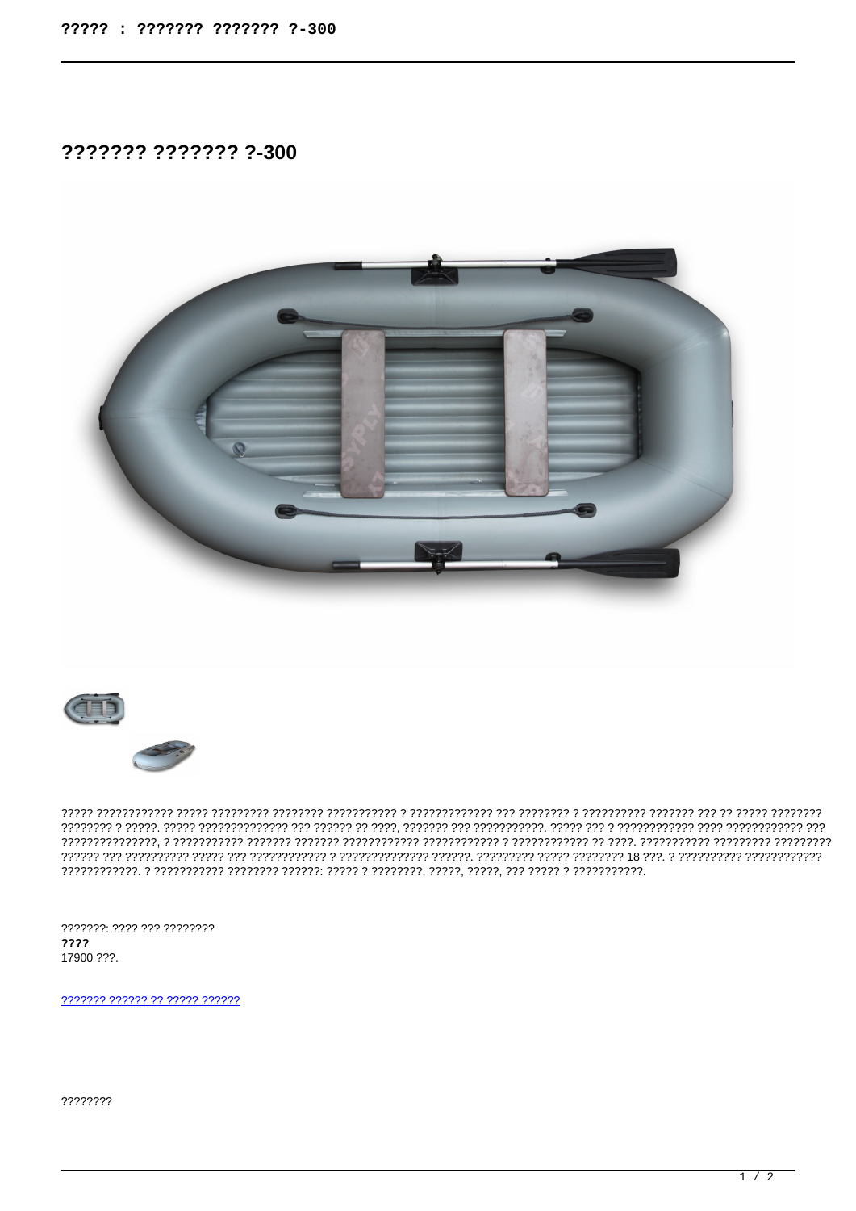??????? ??????? ?-300





???????: ???? ??? ????????  $2222$ 17900 ???.

2222222 222222 22 22222 222222

????????